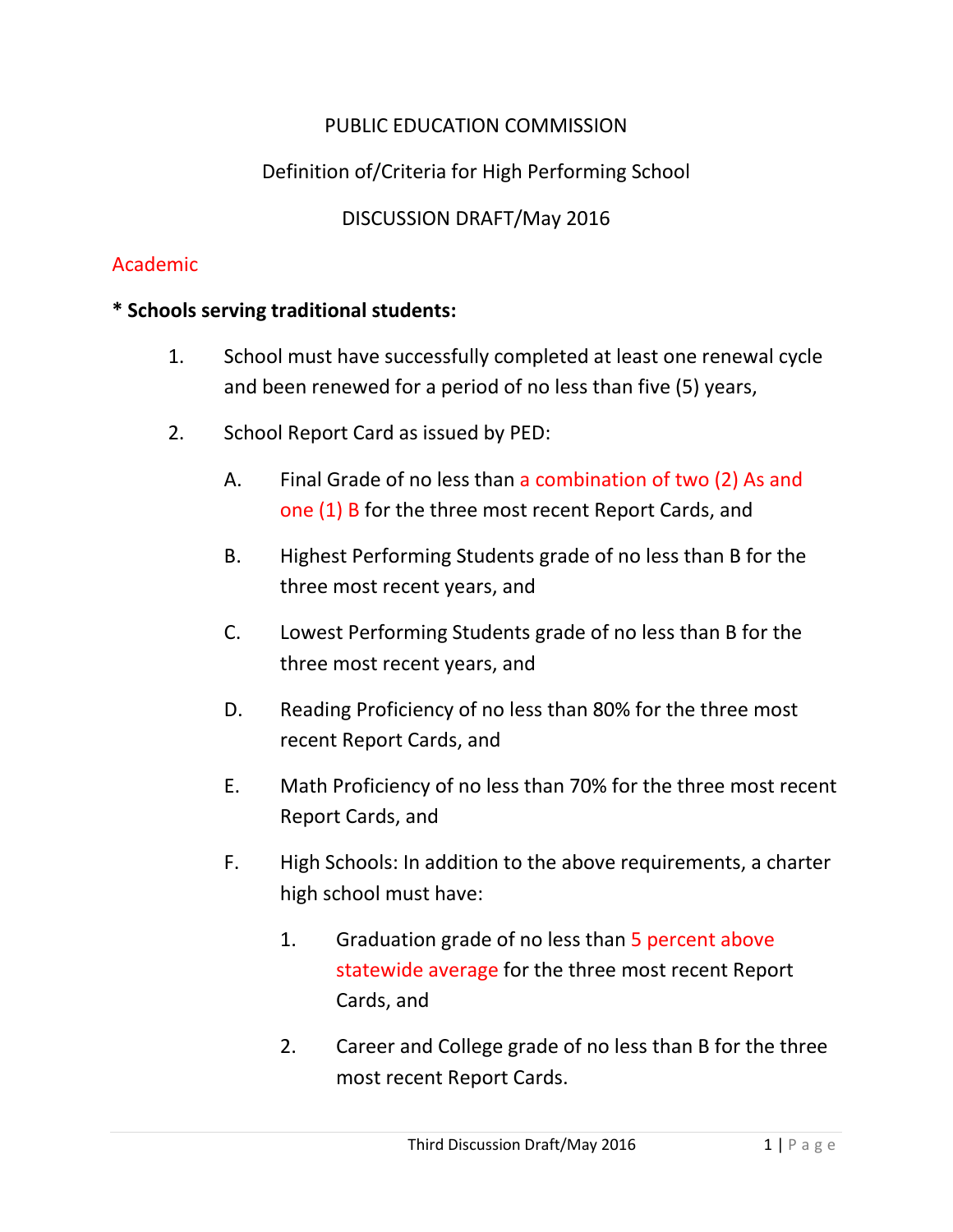# PUBLIC EDUCATION COMMISSION

# Definition of/Criteria for High Performing School

DISCUSSION DRAFT/May 2016

#### Academic

#### **\* Schools serving traditional students:**

- 1. School must have successfully completed at least one renewal cycle and been renewed for a period of no less than five (5) years,
- 2. School Report Card as issued by PED:
	- A. Final Grade of no less than a combination of two (2) As and one (1) B for the three most recent Report Cards, and
	- B. Highest Performing Students grade of no less than B for the three most recent years, and
	- C. Lowest Performing Students grade of no less than B for the three most recent years, and
	- D. Reading Proficiency of no less than 80% for the three most recent Report Cards, and
	- E. Math Proficiency of no less than 70% for the three most recent Report Cards, and
	- F. High Schools: In addition to the above requirements, a charter high school must have:
		- 1. Graduation grade of no less than 5 percent above statewide average for the three most recent Report Cards, and
		- 2. Career and College grade of no less than B for the three most recent Report Cards.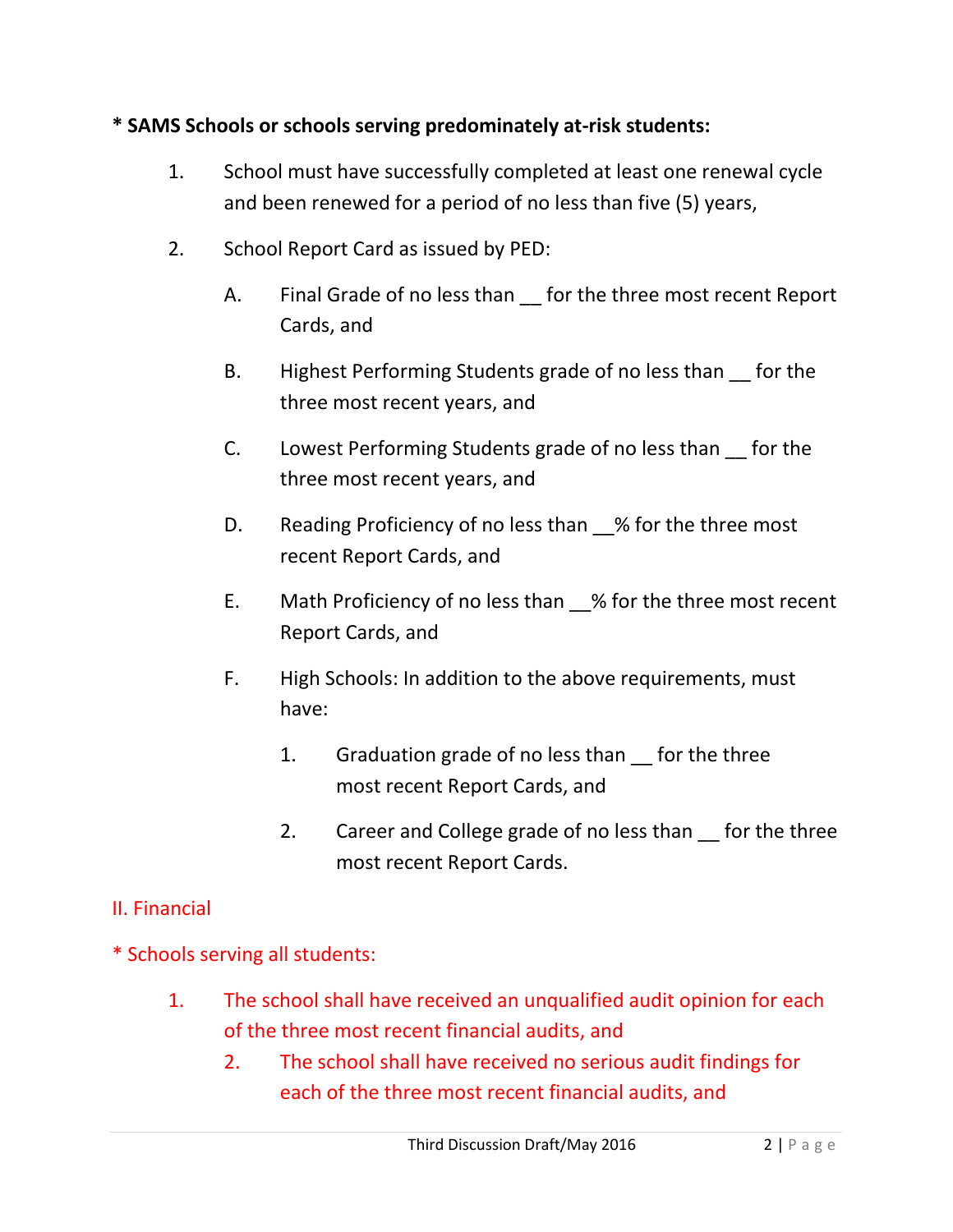## **\* SAMS Schools or schools serving predominately at-risk students:**

- 1. School must have successfully completed at least one renewal cycle and been renewed for a period of no less than five (5) years,
- 2. School Report Card as issued by PED:
	- A. Final Grade of no less than for the three most recent Report Cards, and
	- B. Highest Performing Students grade of no less than for the three most recent years, and
	- C. Lowest Performing Students grade of no less than \_\_ for the three most recent years, and
	- D. Reading Proficiency of no less than % for the three most recent Report Cards, and
	- E. Math Proficiency of no less than \_\_% for the three most recent Report Cards, and
	- F. High Schools: In addition to the above requirements, must have:
		- 1. Graduation grade of no less than for the three most recent Report Cards, and
		- 2. Career and College grade of no less than for the three most recent Report Cards.

## II. Financial

- \* Schools serving all students:
	- 1. The school shall have received an unqualified audit opinion for each of the three most recent financial audits, and
		- 2. The school shall have received no serious audit findings for each of the three most recent financial audits, and